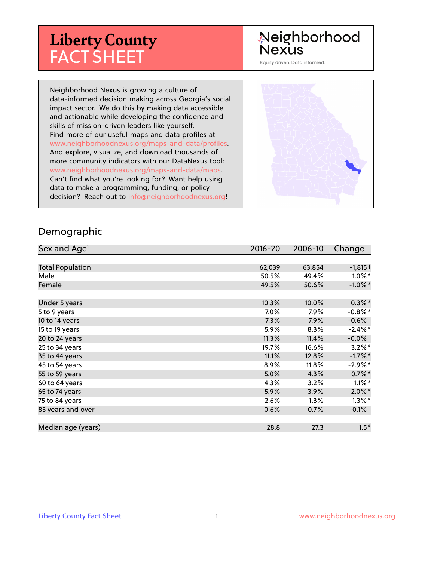# **Liberty County** FACT SHEET

# Neighborhood Nexus

Equity driven. Data informed.

Neighborhood Nexus is growing a culture of data-informed decision making across Georgia's social impact sector. We do this by making data accessible and actionable while developing the confidence and skills of mission-driven leaders like yourself. Find more of our useful maps and data profiles at www.neighborhoodnexus.org/maps-and-data/profiles. And explore, visualize, and download thousands of more community indicators with our DataNexus tool: www.neighborhoodnexus.org/maps-and-data/maps. Can't find what you're looking for? Want help using data to make a programming, funding, or policy decision? Reach out to [info@neighborhoodnexus.org!](mailto:info@neighborhoodnexus.org)



#### Demographic

| Sex and Age <sup>1</sup> | $2016 - 20$ | 2006-10 | Change     |
|--------------------------|-------------|---------|------------|
|                          |             |         |            |
| <b>Total Population</b>  | 62,039      | 63,854  | $-1,815+$  |
| Male                     | 50.5%       | 49.4%   | $1.0\%$ *  |
| Female                   | 49.5%       | 50.6%   | $-1.0\%$ * |
|                          |             |         |            |
| Under 5 years            | 10.3%       | 10.0%   | $0.3\%$ *  |
| 5 to 9 years             | 7.0%        | 7.9%    | $-0.8\%$ * |
| 10 to 14 years           | 7.3%        | 7.9%    | $-0.6\%$   |
| 15 to 19 years           | 5.9%        | 8.3%    | $-2.4\%$ * |
| 20 to 24 years           | 11.3%       | 11.4%   | $-0.0\%$   |
| 25 to 34 years           | 19.7%       | 16.6%   | $3.2\%$ *  |
| 35 to 44 years           | 11.1%       | 12.8%   | $-1.7%$ *  |
| 45 to 54 years           | 8.9%        | 11.8%   | $-2.9%$ *  |
| 55 to 59 years           | 5.0%        | 4.3%    | $0.7\%$ *  |
| 60 to 64 years           | 4.3%        | 3.2%    | $1.1\%$ *  |
| 65 to 74 years           | 5.9%        | $3.9\%$ | $2.0\%$ *  |
| 75 to 84 years           | 2.6%        | 1.3%    | $1.3\%$ *  |
| 85 years and over        | 0.6%        | 0.7%    | $-0.1%$    |
|                          |             |         |            |
| Median age (years)       | 28.8        | 27.3    | $1.5*$     |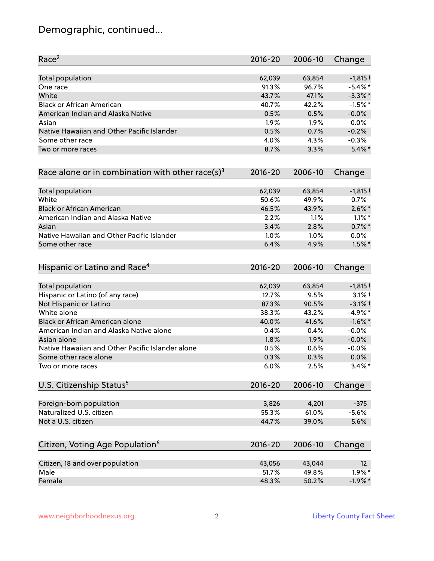# Demographic, continued...

| Race <sup>2</sup>                                   | $2016 - 20$ | 2006-10 | Change     |
|-----------------------------------------------------|-------------|---------|------------|
| <b>Total population</b>                             | 62,039      | 63,854  | $-1,815+$  |
| One race                                            | 91.3%       | 96.7%   | $-5.4\%$ * |
| White                                               | 43.7%       | 47.1%   | $-3.3\%$ * |
| <b>Black or African American</b>                    | 40.7%       | 42.2%   | $-1.5%$ *  |
| American Indian and Alaska Native                   | 0.5%        | 0.5%    | $-0.0%$    |
| Asian                                               | 1.9%        | 1.9%    | 0.0%       |
| Native Hawaiian and Other Pacific Islander          | 0.5%        | 0.7%    | $-0.2%$    |
| Some other race                                     | 4.0%        | 4.3%    | $-0.3%$    |
| Two or more races                                   | 8.7%        | 3.3%    | $5.4\%$ *  |
| Race alone or in combination with other race(s) $3$ | $2016 - 20$ | 2006-10 | Change     |
| Total population                                    | 62,039      | 63,854  | $-1,815+$  |
| White                                               | 50.6%       | 49.9%   | 0.7%       |
| <b>Black or African American</b>                    | 46.5%       | 43.9%   | $2.6\%$ *  |
| American Indian and Alaska Native                   | 2.2%        | 1.1%    | $1.1\%$ *  |
| Asian                                               | 3.4%        | 2.8%    | $0.7\%$ *  |
| Native Hawaiian and Other Pacific Islander          | 1.0%        | 1.0%    | 0.0%       |
| Some other race                                     | 6.4%        | 4.9%    | $1.5\%$ *  |
| Hispanic or Latino and Race <sup>4</sup>            | $2016 - 20$ | 2006-10 | Change     |
| <b>Total population</b>                             | 62,039      | 63,854  | $-1,815+$  |
| Hispanic or Latino (of any race)                    | 12.7%       | 9.5%    | $3.1\%$ t  |
| Not Hispanic or Latino                              | 87.3%       | 90.5%   | $-3.1%$ +  |
| White alone                                         | 38.3%       | 43.2%   | $-4.9%$ *  |
| Black or African American alone                     | 40.0%       | 41.6%   | $-1.6\%$ * |
| American Indian and Alaska Native alone             | 0.4%        | 0.4%    | $-0.0%$    |
| Asian alone                                         | 1.8%        | 1.9%    | $-0.0%$    |
| Native Hawaiian and Other Pacific Islander alone    | 0.5%        | 0.6%    | $-0.0%$    |
| Some other race alone                               | 0.3%        | 0.3%    | 0.0%       |
| Two or more races                                   | 6.0%        | 2.5%    | $3.4\%$ *  |
| U.S. Citizenship Status <sup>5</sup>                | $2016 - 20$ | 2006-10 | Change     |
| Foreign-born population                             | 3,826       | 4,201   | $-375$     |
| Naturalized U.S. citizen                            | 55.3%       | 61.0%   | $-5.6%$    |
| Not a U.S. citizen                                  | 44.7%       | 39.0%   | 5.6%       |
| Citizen, Voting Age Population <sup>6</sup>         | $2016 - 20$ | 2006-10 | Change     |
|                                                     |             |         |            |
| Citizen, 18 and over population                     | 43,056      | 43,044  | 12         |
| Male                                                | 51.7%       | 49.8%   | $1.9\%$ *  |
| Female                                              | 48.3%       | 50.2%   | $-1.9%$ *  |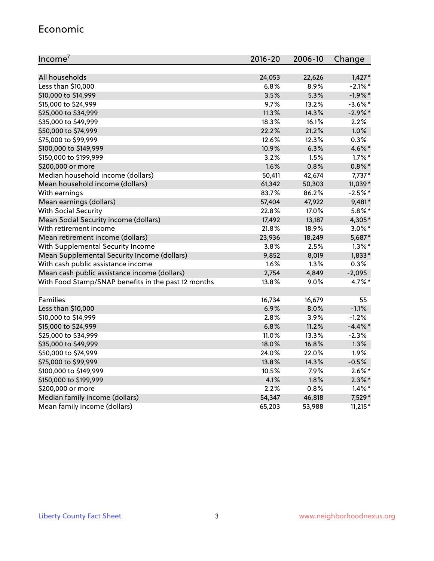#### Economic

| Income <sup>7</sup>                                 | $2016 - 20$ | 2006-10 | Change     |
|-----------------------------------------------------|-------------|---------|------------|
|                                                     |             |         |            |
| All households                                      | 24,053      | 22,626  | $1,427*$   |
| Less than \$10,000                                  | 6.8%        | 8.9%    | $-2.1\%$ * |
| \$10,000 to \$14,999                                | 3.5%        | 5.3%    | $-1.9%$ *  |
| \$15,000 to \$24,999                                | 9.7%        | 13.2%   | $-3.6\%$ * |
| \$25,000 to \$34,999                                | 11.3%       | 14.3%   | $-2.9\%$ * |
| \$35,000 to \$49,999                                | 18.3%       | 16.1%   | 2.2%       |
| \$50,000 to \$74,999                                | 22.2%       | 21.2%   | 1.0%       |
| \$75,000 to \$99,999                                | 12.6%       | 12.3%   | 0.3%       |
| \$100,000 to \$149,999                              | 10.9%       | 6.3%    | 4.6%*      |
| \$150,000 to \$199,999                              | 3.2%        | 1.5%    | $1.7\%$ *  |
| \$200,000 or more                                   | 1.6%        | 0.8%    | $0.8\%$ *  |
| Median household income (dollars)                   | 50,411      | 42,674  | $7,737*$   |
| Mean household income (dollars)                     | 61,342      | 50,303  | 11,039*    |
| With earnings                                       | 83.7%       | 86.2%   | $-2.5%$ *  |
| Mean earnings (dollars)                             | 57,404      | 47,922  | 9,481*     |
| <b>With Social Security</b>                         | 22.8%       | 17.0%   | $5.8\%$ *  |
| Mean Social Security income (dollars)               | 17,492      | 13,187  | 4,305*     |
| With retirement income                              | 21.8%       | 18.9%   | $3.0\%$ *  |
| Mean retirement income (dollars)                    | 23,936      | 18,249  | 5,687*     |
| With Supplemental Security Income                   | 3.8%        | 2.5%    | $1.3\%$ *  |
| Mean Supplemental Security Income (dollars)         | 9,852       | 8,019   | $1,833*$   |
| With cash public assistance income                  | 1.6%        | 1.3%    | 0.3%       |
| Mean cash public assistance income (dollars)        | 2,754       | 4,849   | $-2,095$   |
| With Food Stamp/SNAP benefits in the past 12 months | 13.8%       | 9.0%    | 4.7%*      |
|                                                     |             |         |            |
| Families                                            | 16,734      | 16,679  | 55         |
| Less than \$10,000                                  | 6.9%        | 8.0%    | $-1.1%$    |
| \$10,000 to \$14,999                                | 2.8%        | 3.9%    | $-1.2%$    |
| \$15,000 to \$24,999                                | 6.8%        | 11.2%   | $-4.4\%$ * |
| \$25,000 to \$34,999                                | 11.0%       | 13.3%   | $-2.3%$    |
| \$35,000 to \$49,999                                | 18.0%       | 16.8%   | 1.3%       |
| \$50,000 to \$74,999                                | 24.0%       | 22.0%   | 1.9%       |
| \$75,000 to \$99,999                                | 13.8%       | 14.3%   | $-0.5%$    |
| \$100,000 to \$149,999                              | 10.5%       | 7.9%    | $2.6\%$ *  |
| \$150,000 to \$199,999                              | 4.1%        | 1.8%    | $2.3\%$ *  |
| \$200,000 or more                                   | 2.2%        | 0.8%    | $1.4\%$ *  |
| Median family income (dollars)                      | 54,347      | 46,818  | 7,529*     |
| Mean family income (dollars)                        | 65,203      | 53,988  | $11,215*$  |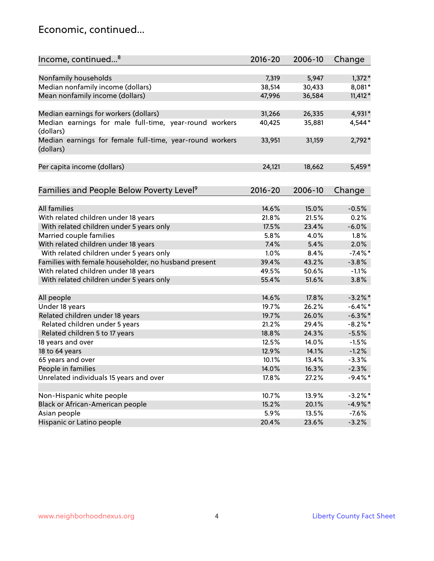### Economic, continued...

| Income, continued <sup>8</sup>                           | $2016 - 20$    | 2006-10        | Change          |
|----------------------------------------------------------|----------------|----------------|-----------------|
|                                                          |                |                |                 |
| Nonfamily households                                     | 7,319          | 5,947          | $1,372*$        |
| Median nonfamily income (dollars)                        | 38,514         | 30,433         | 8,081*          |
| Mean nonfamily income (dollars)                          | 47,996         | 36,584         | $11,412*$       |
|                                                          |                |                |                 |
| Median earnings for workers (dollars)                    | 31,266         | 26,335         | 4,931*          |
| Median earnings for male full-time, year-round workers   | 40,425         | 35,881         | 4,544*          |
| (dollars)                                                |                |                |                 |
| Median earnings for female full-time, year-round workers | 33,951         | 31,159         | $2,792*$        |
| (dollars)                                                |                |                |                 |
|                                                          |                |                |                 |
| Per capita income (dollars)                              | 24,121         | 18,662         | 5,459*          |
|                                                          |                |                |                 |
| Families and People Below Poverty Level <sup>9</sup>     | $2016 - 20$    | 2006-10        |                 |
|                                                          |                |                | Change          |
| <b>All families</b>                                      |                |                |                 |
|                                                          | 14.6%<br>21.8% | 15.0%<br>21.5% | $-0.5%$<br>0.2% |
| With related children under 18 years                     | 17.5%          | 23.4%          | $-6.0%$         |
| With related children under 5 years only                 |                |                |                 |
| Married couple families                                  | 5.8%<br>7.4%   | 4.0%           | 1.8%            |
| With related children under 18 years                     |                | 5.4%           | 2.0%            |
| With related children under 5 years only                 | 1.0%           | 8.4%           | $-7.4\%$ *      |
| Families with female householder, no husband present     | 39.4%          | 43.2%          | $-3.8%$         |
| With related children under 18 years                     | 49.5%          | 50.6%          | $-1.1%$         |
| With related children under 5 years only                 | 55.4%          | 51.6%          | 3.8%            |
| All people                                               | 14.6%          | 17.8%          | $-3.2\%$ *      |
| Under 18 years                                           | 19.7%          | 26.2%          | $-6.4\%$ *      |
| Related children under 18 years                          | 19.7%          | 26.0%          | $-6.3\%$ *      |
| Related children under 5 years                           | 21.2%          | 29.4%          | $-8.2\%$ *      |
| Related children 5 to 17 years                           | 18.8%          | 24.3%          | $-5.5%$         |
| 18 years and over                                        | 12.5%          | 14.0%          | $-1.5%$         |
| 18 to 64 years                                           | 12.9%          | 14.1%          | $-1.2%$         |
| 65 years and over                                        | 10.1%          | 13.4%          | $-3.3%$         |
| People in families                                       | 14.0%          | 16.3%          | $-2.3%$         |
| Unrelated individuals 15 years and over                  | 17.8%          | 27.2%          | $-9.4\%$ *      |
|                                                          |                |                |                 |
| Non-Hispanic white people                                | 10.7%          | 13.9%          | $-3.2\%$ *      |
| Black or African-American people                         | 15.2%          | 20.1%          | $-4.9%$ *       |
| Asian people                                             | 5.9%           | 13.5%          | $-7.6%$         |
| Hispanic or Latino people                                | 20.4%          | 23.6%          | $-3.2%$         |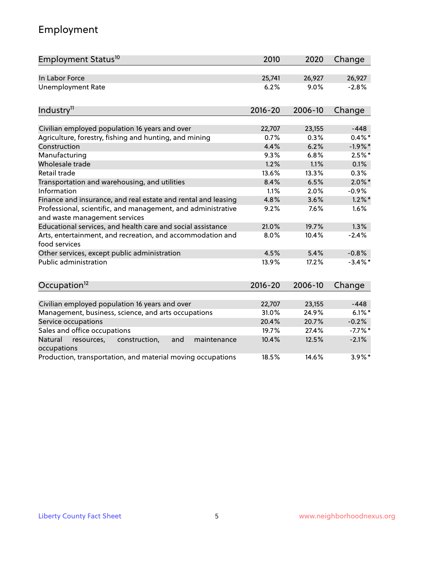# Employment

| Employment Status <sup>10</sup>                                                               | 2010        | 2020    | Change     |
|-----------------------------------------------------------------------------------------------|-------------|---------|------------|
| In Labor Force                                                                                | 25,741      | 26,927  | 26,927     |
| Unemployment Rate                                                                             | 6.2%        | 9.0%    | $-2.8%$    |
| Industry <sup>11</sup>                                                                        | $2016 - 20$ | 2006-10 | Change     |
|                                                                                               |             |         |            |
| Civilian employed population 16 years and over                                                | 22,707      | 23,155  | $-448$     |
| Agriculture, forestry, fishing and hunting, and mining                                        | 0.7%        | 0.3%    | $0.4\%$ *  |
| Construction                                                                                  | 4.4%        | 6.2%    | $-1.9%$ *  |
| Manufacturing                                                                                 | 9.3%        | 6.8%    | $2.5%$ *   |
| Wholesale trade                                                                               | 1.2%        | 1.1%    | 0.1%       |
| Retail trade                                                                                  | 13.6%       | 13.3%   | 0.3%       |
| Transportation and warehousing, and utilities                                                 | 8.4%        | 6.5%    | $2.0\%$ *  |
| Information                                                                                   | 1.1%        | 2.0%    | $-0.9%$    |
| Finance and insurance, and real estate and rental and leasing                                 | 4.8%        | 3.6%    | $1.2\%$ *  |
| Professional, scientific, and management, and administrative<br>and waste management services | 9.2%        | 7.6%    | 1.6%       |
| Educational services, and health care and social assistance                                   | 21.0%       | 19.7%   | 1.3%       |
| Arts, entertainment, and recreation, and accommodation and<br>food services                   | 8.0%        | 10.4%   | $-2.4%$    |
| Other services, except public administration                                                  | 4.5%        | 5.4%    | $-0.8%$    |
| Public administration                                                                         | 13.9%       | 17.2%   | $-3.4\%$ * |
| Occupation <sup>12</sup>                                                                      | $2016 - 20$ | 2006-10 | Change     |
|                                                                                               |             |         |            |
| Civilian employed population 16 years and over                                                | 22,707      | 23,155  | $-448$     |
| Management, business, science, and arts occupations                                           | 31.0%       | 24.9%   | $6.1\%$ *  |
| Service occupations                                                                           | 20.4%       | 20.7%   | $-0.2%$    |
| Sales and office occupations                                                                  | 19.7%       | 27.4%   | $-7.7\%$ * |
| Natural<br>and<br>resources,<br>construction,<br>maintenance<br>occupations                   | 10.4%       | 12.5%   | $-2.1%$    |
| Production, transportation, and material moving occupations                                   | 18.5%       | 14.6%   | $3.9\%$ *  |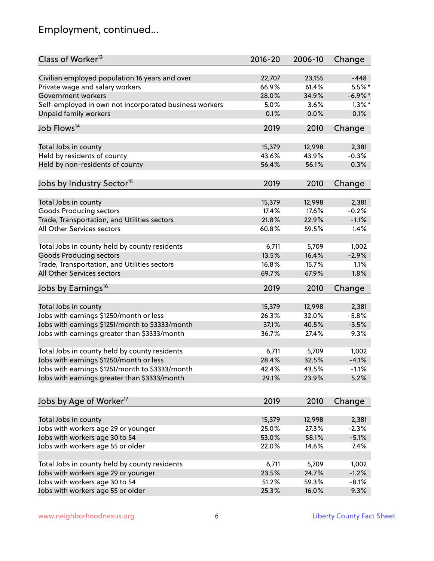# Employment, continued...

| Class of Worker <sup>13</sup>                          | $2016 - 20$ | 2006-10 | Change     |
|--------------------------------------------------------|-------------|---------|------------|
| Civilian employed population 16 years and over         | 22,707      | 23,155  | $-448$     |
| Private wage and salary workers                        | 66.9%       | 61.4%   | 5.5%*      |
| Government workers                                     | 28.0%       | 34.9%   | $-6.9\%$ * |
| Self-employed in own not incorporated business workers | 5.0%        | 3.6%    | $1.3\%$ *  |
| <b>Unpaid family workers</b>                           | 0.1%        | 0.0%    | 0.1%       |
| Job Flows <sup>14</sup>                                | 2019        | 2010    | Change     |
|                                                        |             |         |            |
| Total Jobs in county                                   | 15,379      | 12,998  | 2,381      |
| Held by residents of county                            | 43.6%       | 43.9%   | $-0.3%$    |
| Held by non-residents of county                        | 56.4%       | 56.1%   | 0.3%       |
|                                                        |             |         |            |
| Jobs by Industry Sector <sup>15</sup>                  | 2019        | 2010    | Change     |
| Total Jobs in county                                   | 15,379      | 12,998  | 2,381      |
| <b>Goods Producing sectors</b>                         | 17.4%       | 17.6%   | $-0.2%$    |
| Trade, Transportation, and Utilities sectors           | 21.8%       | 22.9%   | $-1.1%$    |
| All Other Services sectors                             | 60.8%       | 59.5%   | 1.4%       |
|                                                        |             |         |            |
| Total Jobs in county held by county residents          | 6,711       | 5,709   | 1,002      |
| <b>Goods Producing sectors</b>                         | 13.5%       | 16.4%   | $-2.9%$    |
| Trade, Transportation, and Utilities sectors           | 16.8%       | 15.7%   | 1.1%       |
| All Other Services sectors                             | 69.7%       | 67.9%   | 1.8%       |
|                                                        |             |         |            |
| Jobs by Earnings <sup>16</sup>                         | 2019        | 2010    | Change     |
| Total Jobs in county                                   | 15,379      | 12,998  | 2,381      |
| Jobs with earnings \$1250/month or less                | 26.3%       | 32.0%   | $-5.8%$    |
| Jobs with earnings \$1251/month to \$3333/month        | 37.1%       | 40.5%   | $-3.5%$    |
| Jobs with earnings greater than \$3333/month           | 36.7%       | 27.4%   | 9.3%       |
|                                                        |             |         |            |
| Total Jobs in county held by county residents          | 6,711       | 5,709   | 1,002      |
| Jobs with earnings \$1250/month or less                | 28.4%       | 32.5%   | $-4.1%$    |
| Jobs with earnings \$1251/month to \$3333/month        | 42.4%       | 43.5%   | $-1.1\%$   |
| Jobs with earnings greater than \$3333/month           | 29.1%       | 23.9%   | 5.2%       |
|                                                        |             |         |            |
| Jobs by Age of Worker <sup>17</sup>                    | 2019        | 2010    | Change     |
| Total Jobs in county                                   | 15,379      | 12,998  | 2,381      |
| Jobs with workers age 29 or younger                    | 25.0%       | 27.3%   | $-2.3%$    |
|                                                        | 53.0%       | 58.1%   | $-5.1%$    |
| Jobs with workers age 30 to 54                         |             |         |            |
| Jobs with workers age 55 or older                      | 22.0%       | 14.6%   | 7.4%       |
| Total Jobs in county held by county residents          | 6,711       | 5,709   | 1,002      |
| Jobs with workers age 29 or younger                    | 23.5%       | 24.7%   | $-1.2%$    |
| Jobs with workers age 30 to 54                         | 51.2%       | 59.3%   | $-8.1%$    |
| Jobs with workers age 55 or older                      | 25.3%       | 16.0%   | 9.3%       |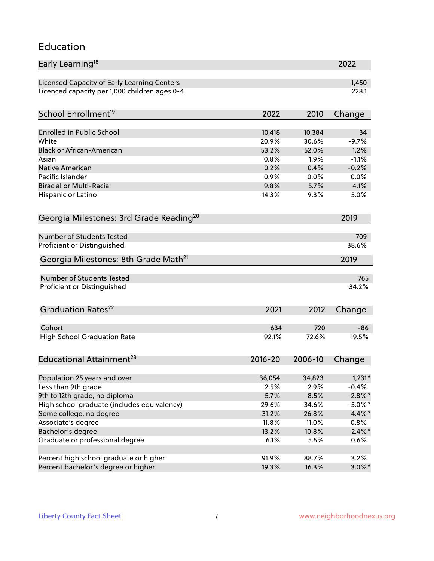#### Education

| Early Learning <sup>18</sup>                        |              |              | 2022         |
|-----------------------------------------------------|--------------|--------------|--------------|
| Licensed Capacity of Early Learning Centers         |              |              | 1,450        |
| Licenced capacity per 1,000 children ages 0-4       |              |              | 228.1        |
| School Enrollment <sup>19</sup>                     | 2022         | 2010         | Change       |
|                                                     |              |              |              |
| <b>Enrolled in Public School</b>                    | 10,418       | 10,384       | 34           |
| White<br><b>Black or African-American</b>           | 20.9%        | 30.6%        | $-9.7%$      |
|                                                     | 53.2%        | 52.0%        | 1.2%         |
| Asian                                               | 0.8%         | 1.9%         | $-1.1%$      |
| <b>Native American</b><br>Pacific Islander          | 0.2%         | 0.4%         | $-0.2%$      |
| <b>Biracial or Multi-Racial</b>                     | 0.9%<br>9.8% | 0.0%<br>5.7% | 0.0%<br>4.1% |
|                                                     |              |              |              |
| Hispanic or Latino                                  | 14.3%        | 9.3%         | 5.0%         |
| Georgia Milestones: 3rd Grade Reading <sup>20</sup> |              |              | 2019         |
| Number of Students Tested                           |              |              | 709          |
| Proficient or Distinguished                         |              |              | 38.6%        |
|                                                     |              |              |              |
| Georgia Milestones: 8th Grade Math <sup>21</sup>    |              |              | 2019         |
| Number of Students Tested                           |              |              | 765          |
| Proficient or Distinguished                         |              |              | 34.2%        |
| Graduation Rates <sup>22</sup>                      | 2021         | 2012         | Change       |
| Cohort                                              |              | 720          |              |
|                                                     | 634          | 72.6%        | -86<br>19.5% |
| <b>High School Graduation Rate</b>                  | 92.1%        |              |              |
| Educational Attainment <sup>23</sup>                | $2016 - 20$  | 2006-10      | Change       |
| Population 25 years and over                        | 36,054       | 34,823       | $1,231*$     |
| Less than 9th grade                                 | 2.5%         | 2.9%         | $-0.4%$      |
| 9th to 12th grade, no diploma                       | 5.7%         | 8.5%         | $-2.8\%$ *   |
| High school graduate (includes equivalency)         | 29.6%        | 34.6%        | $-5.0\%$ *   |
| Some college, no degree                             | 31.2%        | 26.8%        | $4.4\%$ *    |
| Associate's degree                                  | 11.8%        | 11.0%        | 0.8%         |
| Bachelor's degree                                   | 13.2%        | 10.8%        | $2.4\%*$     |
| Graduate or professional degree                     | 6.1%         | 5.5%         | 0.6%         |
|                                                     |              |              |              |
| Percent high school graduate or higher              | 91.9%        | 88.7%        | 3.2%         |
| Percent bachelor's degree or higher                 | 19.3%        | 16.3%        | $3.0\%$ *    |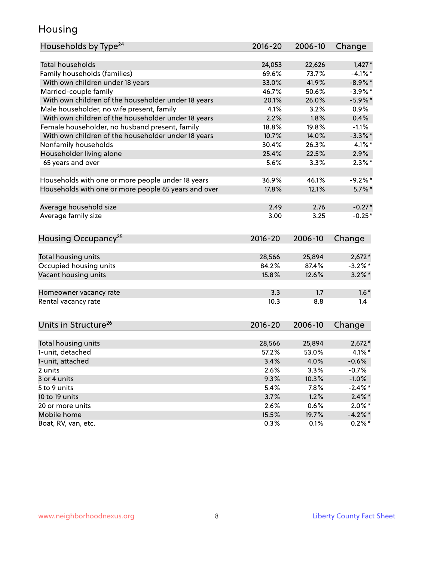### Housing

| Households by Type <sup>24</sup>                     | 2016-20     | 2006-10 | Change     |
|------------------------------------------------------|-------------|---------|------------|
|                                                      |             |         |            |
| <b>Total households</b>                              | 24,053      | 22,626  | $1,427*$   |
| Family households (families)                         | 69.6%       | 73.7%   | $-4.1\%$ * |
| With own children under 18 years                     | 33.0%       | 41.9%   | $-8.9\%$ * |
| Married-couple family                                | 46.7%       | 50.6%   | $-3.9\%$ * |
| With own children of the householder under 18 years  | 20.1%       | 26.0%   | $-5.9\%$ * |
| Male householder, no wife present, family            | 4.1%        | 3.2%    | 0.9%       |
| With own children of the householder under 18 years  | 2.2%        | 1.8%    | 0.4%       |
| Female householder, no husband present, family       | 18.8%       | 19.8%   | $-1.1%$    |
| With own children of the householder under 18 years  | 10.7%       | 14.0%   | $-3.3\%$ * |
| Nonfamily households                                 | 30.4%       | 26.3%   | $4.1\%$ *  |
| Householder living alone                             | 25.4%       | 22.5%   | 2.9%       |
| 65 years and over                                    | 5.6%        | 3.3%    | $2.3\%$ *  |
|                                                      |             |         |            |
| Households with one or more people under 18 years    | 36.9%       | 46.1%   | $-9.2%$ *  |
| Households with one or more people 65 years and over | 17.8%       | 12.1%   | $5.7\%$ *  |
|                                                      |             |         |            |
| Average household size                               | 2.49        | 2.76    | $-0.27*$   |
| Average family size                                  | 3.00        | 3.25    | $-0.25*$   |
| Housing Occupancy <sup>25</sup>                      | $2016 - 20$ | 2006-10 | Change     |
|                                                      |             |         |            |
| Total housing units                                  | 28,566      | 25,894  | $2,672*$   |
| Occupied housing units                               | 84.2%       | 87.4%   | $-3.2\%$ * |
| Vacant housing units                                 | 15.8%       | 12.6%   | $3.2\%$ *  |
| Homeowner vacancy rate                               | 3.3         | 1.7     | $1.6*$     |
| Rental vacancy rate                                  | 10.3        | 8.8     | 1.4        |
|                                                      |             |         |            |
| Units in Structure <sup>26</sup>                     | $2016 - 20$ | 2006-10 | Change     |
| Total housing units                                  | 28,566      | 25,894  | $2,672*$   |
| 1-unit, detached                                     | 57.2%       | 53.0%   | $4.1\%$ *  |
| 1-unit, attached                                     | 3.4%        | 4.0%    | $-0.6%$    |
| 2 units                                              | 2.6%        | 3.3%    | $-0.7%$    |
| 3 or 4 units                                         | 9.3%        | 10.3%   | $-1.0%$    |
| 5 to 9 units                                         | 5.4%        | 7.8%    | $-2.4\%$ * |
| 10 to 19 units                                       | 3.7%        | 1.2%    | $2.4\%$ *  |
| 20 or more units                                     | 2.6%        | 0.6%    | $2.0\%$ *  |
| Mobile home                                          | 15.5%       | 19.7%   | $-4.2%$ *  |
| Boat, RV, van, etc.                                  | 0.3%        | 0.1%    | $0.2\%$ *  |
|                                                      |             |         |            |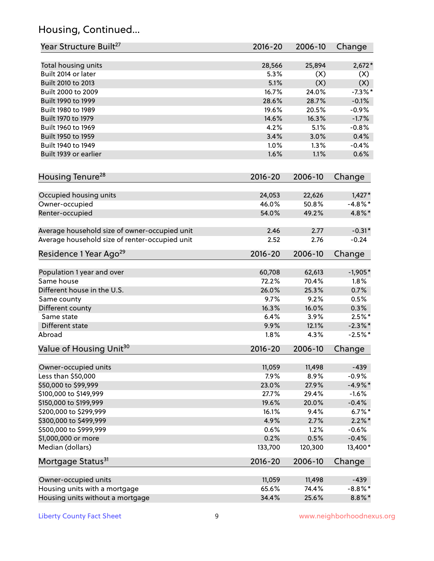# Housing, Continued...

| Year Structure Built <sup>27</sup>             | 2016-20     | 2006-10 | Change     |
|------------------------------------------------|-------------|---------|------------|
| Total housing units                            | 28,566      | 25,894  | $2,672*$   |
| Built 2014 or later                            | 5.3%        | (X)     | (X)        |
| Built 2010 to 2013                             | 5.1%        | (X)     | (X)        |
| Built 2000 to 2009                             | 16.7%       | 24.0%   | $-7.3\%$ * |
| Built 1990 to 1999                             | 28.6%       | 28.7%   | $-0.1%$    |
| Built 1980 to 1989                             | 19.6%       | 20.5%   | $-0.9%$    |
| Built 1970 to 1979                             | 14.6%       | 16.3%   | $-1.7%$    |
| Built 1960 to 1969                             | 4.2%        | 5.1%    | $-0.8%$    |
| Built 1950 to 1959                             | 3.4%        | 3.0%    | 0.4%       |
| Built 1940 to 1949                             | 1.0%        | 1.3%    | $-0.4%$    |
| Built 1939 or earlier                          | 1.6%        | 1.1%    | 0.6%       |
| Housing Tenure <sup>28</sup>                   | $2016 - 20$ | 2006-10 | Change     |
| Occupied housing units                         | 24,053      | 22,626  | $1,427*$   |
| Owner-occupied                                 | 46.0%       | 50.8%   | $-4.8\%$ * |
| Renter-occupied                                | 54.0%       | 49.2%   | 4.8%*      |
| Average household size of owner-occupied unit  | 2.46        | 2.77    | $-0.31*$   |
| Average household size of renter-occupied unit | 2.52        | 2.76    | $-0.24$    |
| Residence 1 Year Ago <sup>29</sup>             | 2016-20     | 2006-10 | Change     |
| Population 1 year and over                     | 60,708      | 62,613  | $-1,905*$  |
| Same house                                     | 72.2%       | 70.4%   | 1.8%       |
| Different house in the U.S.                    | 26.0%       | 25.3%   | 0.7%       |
| Same county                                    | 9.7%        | 9.2%    | 0.5%       |
| Different county                               | 16.3%       | 16.0%   | 0.3%       |
| Same state                                     | 6.4%        | 3.9%    | $2.5%$ *   |
| Different state                                | 9.9%        | 12.1%   | $-2.3\%$ * |
| Abroad                                         | 1.8%        | 4.3%    | $-2.5%$ *  |
| Value of Housing Unit <sup>30</sup>            | $2016 - 20$ | 2006-10 | Change     |
| Owner-occupied units                           | 11,059      | 11,498  | $-439$     |
| Less than \$50,000                             | 7.9%        | 8.9%    | $-0.9%$    |
| \$50,000 to \$99,999                           | 23.0%       | 27.9%   | $-4.9%$ *  |
| \$100,000 to \$149,999                         | 27.7%       | 29.4%   | $-1.6%$    |
| \$150,000 to \$199,999                         | 19.6%       | 20.0%   | $-0.4%$    |
| \$200,000 to \$299,999                         | 16.1%       | 9.4%    | $6.7\%$ *  |
| \$300,000 to \$499,999                         | 4.9%        | 2.7%    | $2.2\%$ *  |
| \$500,000 to \$999,999                         | 0.6%        | 1.2%    | $-0.6%$    |
| \$1,000,000 or more                            | 0.2%        | 0.5%    | $-0.4%$    |
| Median (dollars)                               | 133,700     | 120,300 | 13,400*    |
| Mortgage Status <sup>31</sup>                  | $2016 - 20$ | 2006-10 | Change     |
| Owner-occupied units                           | 11,059      | 11,498  | $-439$     |
| Housing units with a mortgage                  | 65.6%       | 74.4%   | $-8.8\%$ * |
| Housing units without a mortgage               | 34.4%       | 25.6%   | $8.8\%$ *  |
|                                                |             |         |            |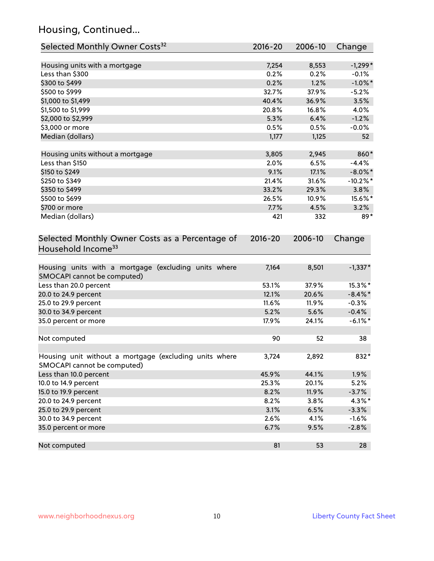# Housing, Continued...

| Selected Monthly Owner Costs <sup>32</sup>                                            | $2016 - 20$ | 2006-10 | Change      |
|---------------------------------------------------------------------------------------|-------------|---------|-------------|
| Housing units with a mortgage                                                         | 7,254       | 8,553   | $-1,299*$   |
| Less than \$300                                                                       | 0.2%        | 0.2%    | $-0.1%$     |
| \$300 to \$499                                                                        | 0.2%        | 1.2%    | $-1.0\%$ *  |
| \$500 to \$999                                                                        | 32.7%       | 37.9%   | $-5.2%$     |
| \$1,000 to \$1,499                                                                    | 40.4%       | 36.9%   | 3.5%        |
| \$1,500 to \$1,999                                                                    | 20.8%       | 16.8%   | 4.0%        |
| \$2,000 to \$2,999                                                                    | 5.3%        | 6.4%    | $-1.2%$     |
| \$3,000 or more                                                                       | 0.5%        | 0.5%    | $-0.0%$     |
| Median (dollars)                                                                      | 1,177       | 1,125   | 52          |
| Housing units without a mortgage                                                      | 3,805       | 2,945   | 860*        |
| Less than \$150                                                                       | 2.0%        | 6.5%    | $-4.4%$     |
| \$150 to \$249                                                                        | 9.1%        | 17.1%   | $-8.0\%$ *  |
| \$250 to \$349                                                                        | 21.4%       | 31.6%   | $-10.2\%$ * |
| \$350 to \$499                                                                        | 33.2%       | 29.3%   | 3.8%        |
| \$500 to \$699                                                                        | 26.5%       | 10.9%   | 15.6%*      |
| \$700 or more                                                                         | 7.7%        | 4.5%    | 3.2%        |
| Median (dollars)                                                                      | 421         | 332     | 89*         |
| Selected Monthly Owner Costs as a Percentage of<br>Household Income <sup>33</sup>     | $2016 - 20$ | 2006-10 | Change      |
| Housing units with a mortgage (excluding units where<br>SMOCAPI cannot be computed)   | 7,164       | 8,501   | $-1,337*$   |
| Less than 20.0 percent                                                                | 53.1%       | 37.9%   | 15.3%*      |
| 20.0 to 24.9 percent                                                                  | 12.1%       | 20.6%   | $-8.4\%$ *  |
| 25.0 to 29.9 percent                                                                  | 11.6%       | 11.9%   | $-0.3%$     |
| 30.0 to 34.9 percent                                                                  | 5.2%        | 5.6%    | $-0.4%$     |
| 35.0 percent or more                                                                  | 17.9%       | 24.1%   | $-6.1\%$ *  |
| Not computed                                                                          | 90          | 52      | 38          |
| Housing unit without a mortgage (excluding units where<br>SMOCAPI cannot be computed) | 3,724       | 2,892   | 832*        |
| Less than 10.0 percent                                                                | 45.9%       | 44.1%   | 1.9%        |
| 10.0 to 14.9 percent                                                                  | 25.3%       | 20.1%   | 5.2%        |
| 15.0 to 19.9 percent                                                                  | 8.2%        | 11.9%   | $-3.7%$     |
| 20.0 to 24.9 percent                                                                  | 8.2%        | 3.8%    | 4.3%*       |
| 25.0 to 29.9 percent                                                                  | 3.1%        | 6.5%    | $-3.3%$     |
| 30.0 to 34.9 percent                                                                  | 2.6%        | 4.1%    | $-1.6%$     |
| 35.0 percent or more                                                                  | 6.7%        | 9.5%    | $-2.8%$     |
| Not computed                                                                          | 81          | 53      | 28          |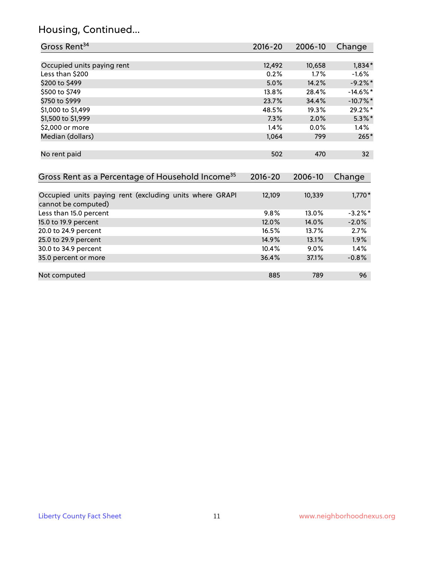# Housing, Continued...

| Gross Rent <sup>34</sup>                                                       | 2016-20     | 2006-10 | Change          |
|--------------------------------------------------------------------------------|-------------|---------|-----------------|
|                                                                                |             |         |                 |
| Occupied units paying rent                                                     | 12,492      | 10,658  | $1,834*$        |
| Less than \$200                                                                | 0.2%        | 1.7%    | $-1.6%$         |
| \$200 to \$499                                                                 | 5.0%        | 14.2%   | $-9.2%$ *       |
| \$500 to \$749                                                                 | 13.8%       | 28.4%   | $-14.6\%$ *     |
| \$750 to \$999                                                                 | 23.7%       | 34.4%   | $-10.7%$ *      |
| \$1,000 to \$1,499                                                             | 48.5%       | 19.3%   | 29.2%*          |
| \$1,500 to \$1,999                                                             | 7.3%        | 2.0%    | $5.3\%$ *       |
| \$2,000 or more                                                                | 1.4%        | 0.0%    | 1.4%            |
| Median (dollars)                                                               | 1,064       | 799     | $265*$          |
| No rent paid                                                                   | 502         | 470     | 32 <sup>2</sup> |
| Gross Rent as a Percentage of Household Income <sup>35</sup>                   | $2016 - 20$ | 2006-10 | Change          |
| Occupied units paying rent (excluding units where GRAPI<br>cannot be computed) | 12,109      | 10,339  | $1,770*$        |
| Less than 15.0 percent                                                         | 9.8%        | 13.0%   | $-3.2\%$ *      |
| 15.0 to 19.9 percent                                                           | 12.0%       | 14.0%   | $-2.0%$         |
| 20.0 to 24.9 percent                                                           | 16.5%       | 13.7%   | 2.7%            |
| 25.0 to 29.9 percent                                                           | 14.9%       | 13.1%   | 1.9%            |
| 30.0 to 34.9 percent                                                           | 10.4%       | 9.0%    | 1.4%            |
| 35.0 percent or more                                                           | 36.4%       | 37.1%   | $-0.8%$         |
| Not computed                                                                   | 885         | 789     | 96              |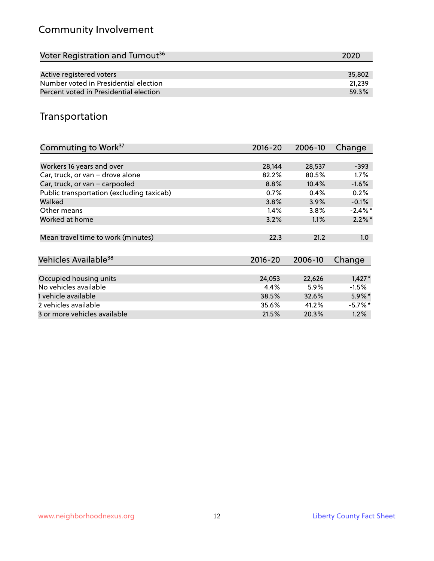# Community Involvement

| Voter Registration and Turnout <sup>36</sup> | 2020   |
|----------------------------------------------|--------|
|                                              |        |
| Active registered voters                     | 35,802 |
| Number voted in Presidential election        | 21.239 |
| Percent voted in Presidential election       | 59.3%  |

## Transportation

| Commuting to Work <sup>37</sup>           | 2016-20     | 2006-10 | Change     |
|-------------------------------------------|-------------|---------|------------|
|                                           |             |         |            |
| Workers 16 years and over                 | 28,144      | 28,537  | $-393$     |
| Car, truck, or van - drove alone          | 82.2%       | 80.5%   | $1.7\%$    |
| Car, truck, or van - carpooled            | 8.8%        | 10.4%   | $-1.6%$    |
| Public transportation (excluding taxicab) | 0.7%        | 0.4%    | 0.2%       |
| Walked                                    | 3.8%        | 3.9%    | $-0.1%$    |
| Other means                               | 1.4%        | 3.8%    | $-2.4\%$ * |
| Worked at home                            | 3.2%        | 1.1%    | $2.2\%$ *  |
| Mean travel time to work (minutes)        | 22.3        | 21.2    | 1.0        |
| Vehicles Available <sup>38</sup>          | $2016 - 20$ | 2006-10 | Change     |
|                                           |             |         |            |
| Occupied housing units                    | 24,053      | 22,626  | $1,427*$   |
| No vehicles available                     | 4.4%        | 5.9%    | $-1.5%$    |
| 1 vehicle available                       | 38.5%       | 32.6%   | $5.9\%$ *  |
| 2 vehicles available                      | 35.6%       | 41.2%   | $-5.7\%$ * |
| 3 or more vehicles available              | 21.5%       | 20.3%   | 1.2%       |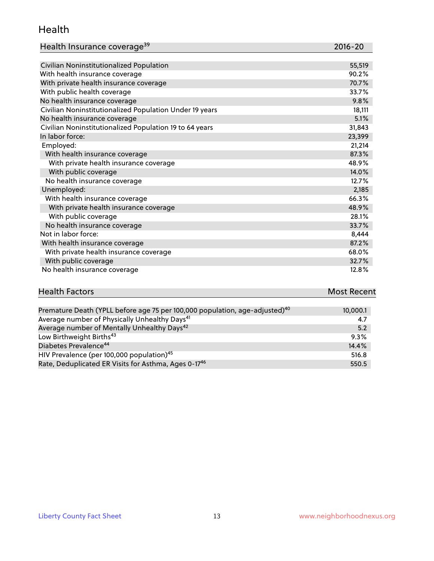#### Health

| Health Insurance coverage <sup>39</sup> | 2016-20 |
|-----------------------------------------|---------|
|-----------------------------------------|---------|

| Civilian Noninstitutionalized Population                | 55,519 |
|---------------------------------------------------------|--------|
| With health insurance coverage                          | 90.2%  |
| With private health insurance coverage                  | 70.7%  |
| With public health coverage                             | 33.7%  |
| No health insurance coverage                            | 9.8%   |
| Civilian Noninstitutionalized Population Under 19 years | 18,111 |
| No health insurance coverage                            | 5.1%   |
| Civilian Noninstitutionalized Population 19 to 64 years | 31,843 |
| In labor force:                                         | 23,399 |
| Employed:                                               | 21,214 |
| With health insurance coverage                          | 87.3%  |
| With private health insurance coverage                  | 48.9%  |
| With public coverage                                    | 14.0%  |
| No health insurance coverage                            | 12.7%  |
| Unemployed:                                             | 2,185  |
| With health insurance coverage                          | 66.3%  |
| With private health insurance coverage                  | 48.9%  |
| With public coverage                                    | 28.1%  |
| No health insurance coverage                            | 33.7%  |
| Not in labor force:                                     | 8,444  |
| With health insurance coverage                          | 87.2%  |
| With private health insurance coverage                  | 68.0%  |
| With public coverage                                    | 32.7%  |
| No health insurance coverage                            | 12.8%  |

# **Health Factors Most Recent** And The Control of the Control of The Control of The Control of The Control of The Control of The Control of The Control of The Control of The Control of The Control of The Control of The Contr

| Premature Death (YPLL before age 75 per 100,000 population, age-adjusted) <sup>40</sup> | 10,000.1 |
|-----------------------------------------------------------------------------------------|----------|
| Average number of Physically Unhealthy Days <sup>41</sup>                               | 4.7      |
| Average number of Mentally Unhealthy Days <sup>42</sup>                                 | 5.2      |
| Low Birthweight Births <sup>43</sup>                                                    | 9.3%     |
| Diabetes Prevalence <sup>44</sup>                                                       | 14.4%    |
| HIV Prevalence (per 100,000 population) <sup>45</sup>                                   | 516.8    |
| Rate, Deduplicated ER Visits for Asthma, Ages 0-17 <sup>46</sup>                        | 550.5    |